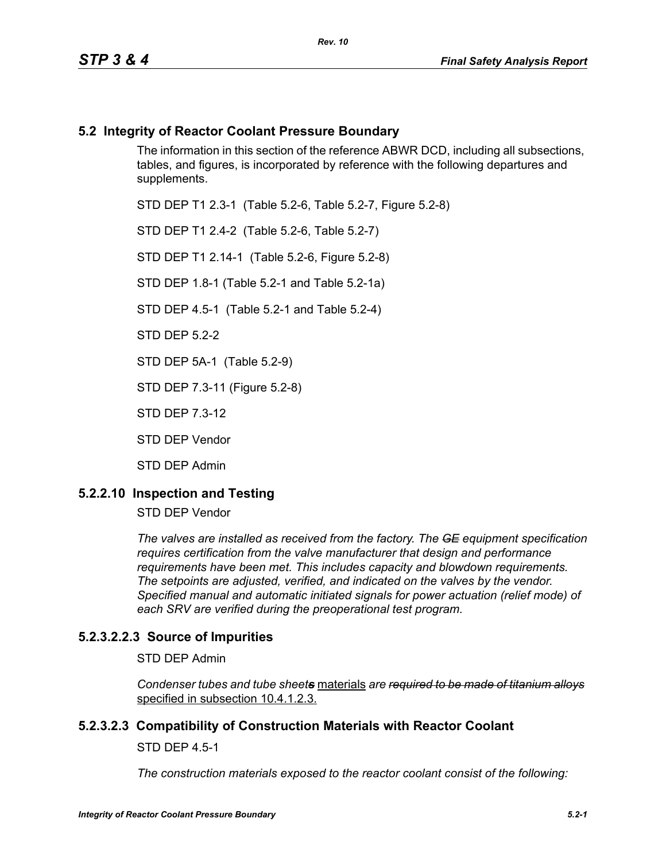# **5.2 Integrity of Reactor Coolant Pressure Boundary**

The information in this section of the reference ABWR DCD, including all subsections, tables, and figures, is incorporated by reference with the following departures and supplements.

STD DEP T1 2.3-1 (Table 5.2-6, Table 5.2-7, Figure 5.2-8)

STD DEP T1 2.4-2 (Table 5.2-6, Table 5.2-7)

STD DEP T1 2.14-1 (Table 5.2-6, Figure 5.2-8)

STD DEP 1.8-1 (Table 5.2-1 and Table 5.2-1a)

STD DEP 4.5-1 (Table 5.2-1 and Table 5.2-4)

STD DEP 5.2-2

STD DEP 5A-1 (Table 5.2-9)

STD DEP 7.3-11 (Figure 5.2-8)

STD DEP 7.3-12

STD DEP Vendor

STD DEP Admin

### **5.2.2.10 Inspection and Testing**

STD DEP Vendor

*The valves are installed as received from the factory. The GE equipment specification requires certification from the valve manufacturer that design and performance requirements have been met. This includes capacity and blowdown requirements. The setpoints are adjusted, verified, and indicated on the valves by the vendor. Specified manual and automatic initiated signals for power actuation (relief mode) of each SRV are verified during the preoperational test program.*

# **5.2.3.2.2.3 Source of Impurities**

STD DEP Admin

*Condenser tubes and tube sheets* materials *are required to be made of titanium alloys* specified in subsection 10.4.1.2.3.

### **5.2.3.2.3 Compatibility of Construction Materials with Reactor Coolant**

STD DEP 4.5-1

*The construction materials exposed to the reactor coolant consist of the following:*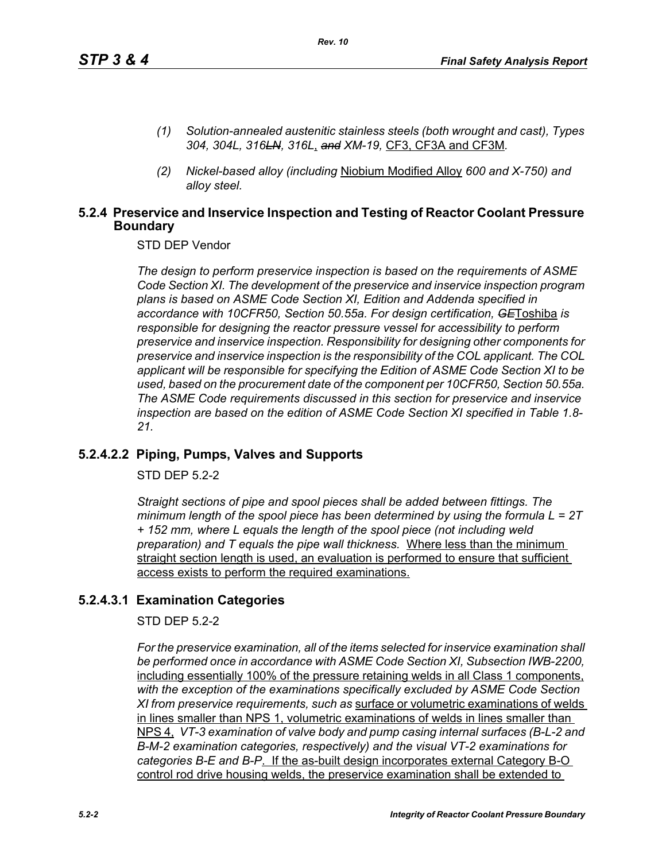- *(1) Solution-annealed austenitic stainless steels (both wrought and cast), Types 304, 304L, 316LN, 316L*, *and XM-19,* CF3, CF3A and CF3M*.*
- *(2) Nickel-based alloy (including* Niobium Modified Alloy *600 and X-750) and alloy steel.*

### **5.2.4 Preservice and Inservice Inspection and Testing of Reactor Coolant Pressure Boundary**

*Rev. 10*

STD DEP Vendor

*The design to perform preservice inspection is based on the requirements of ASME Code Section XI. The development of the preservice and inservice inspection program plans is based on ASME Code Section XI, Edition and Addenda specified in accordance with 10CFR50, Section 50.55a. For design certification, GE*Toshiba *is responsible for designing the reactor pressure vessel for accessibility to perform preservice and inservice inspection. Responsibility for designing other components for preservice and inservice inspection is the responsibility of the COL applicant. The COL applicant will be responsible for specifying the Edition of ASME Code Section XI to be used, based on the procurement date of the component per 10CFR50, Section 50.55a. The ASME Code requirements discussed in this section for preservice and inservice inspection are based on the edition of ASME Code Section XI specified in Table 1.8- 21.*

# **5.2.4.2.2 Piping, Pumps, Valves and Supports**

STD DEP 5.2-2

*Straight sections of pipe and spool pieces shall be added between fittings. The minimum length of the spool piece has been determined by using the formula L = 2T + 152 mm, where L equals the length of the spool piece (not including weld preparation) and T equals the pipe wall thickness.* Where less than the minimum straight section length is used, an evaluation is performed to ensure that sufficient access exists to perform the required examinations.

# **5.2.4.3.1 Examination Categories**

STD DEP 5.2-2

*For the preservice examination, all of the items selected for inservice examination shall*  be performed once in accordance with ASME Code Section XI, Subsection IWB-2200, including essentially 100% of the pressure retaining welds in all Class 1 components, *with the exception of the examinations specifically excluded by ASME Code Section XI from preservice requirements, such as* surface or volumetric examinations of welds in lines smaller than NPS 1, volumetric examinations of welds in lines smaller than NPS 4, *VT-3 examination of valve body and pump casing internal surfaces (B-L-2 and B-M-2 examination categories, respectively) and the visual VT-2 examinations for categories B-E and B-P*. If the as-built design incorporates external Category B-O control rod drive housing welds, the preservice examination shall be extended to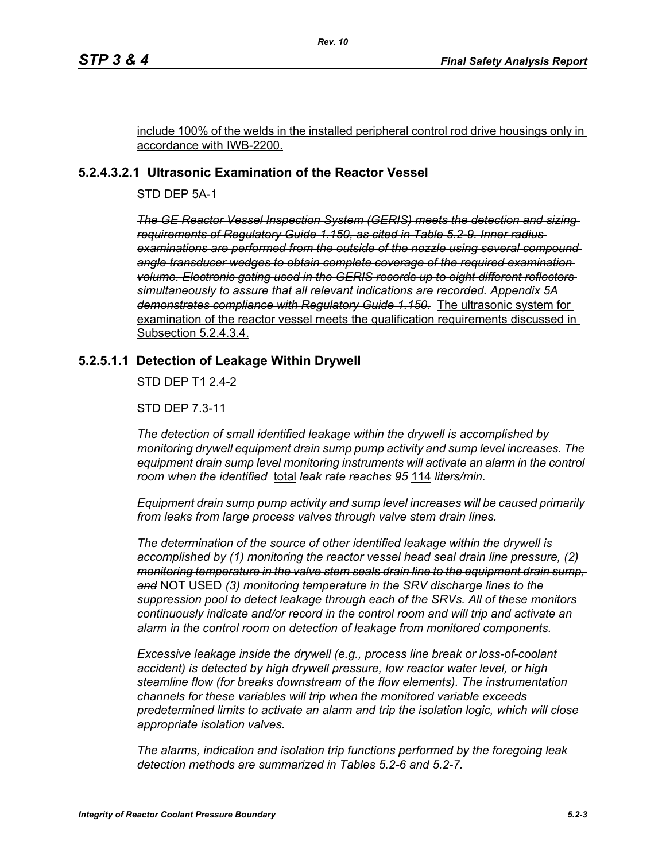include 100% of the welds in the installed peripheral control rod drive housings only in accordance with IWB-2200.

# **5.2.4.3.2.1 Ultrasonic Examination of the Reactor Vessel**

STD DEP 5A-1

*The GE Reactor Vessel Inspection System (GERIS) meets the detection and sizing requirements of Regulatory Guide 1.150, as cited in Table 5.2-9. Inner radius examinations are performed from the outside of the nozzle using several compound angle transducer wedges to obtain complete coverage of the required examination volume. Electronic gating used in the GERIS records up to eight different reflectors simultaneously to assure that all relevant indications are recorded. Appendix 5A demonstrates compliance with Regulatory Guide 1.150.* The ultrasonic system for examination of the reactor vessel meets the qualification requirements discussed in Subsection 5.2.4.3.4.

# **5.2.5.1.1 Detection of Leakage Within Drywell**

STD DEP T1 2.4-2

STD DEP 7.3-11

*The detection of small identified leakage within the drywell is accomplished by monitoring drywell equipment drain sump pump activity and sump level increases. The*  equipment drain sump level monitoring instruments will activate an alarm in the control *room when the identified* total *leak rate reaches 95* 114 *liters/min.*

*Equipment drain sump pump activity and sump level increases will be caused primarily from leaks from large process valves through valve stem drain lines.*

*The determination of the source of other identified leakage within the drywell is accomplished by (1) monitoring the reactor vessel head seal drain line pressure, (2) monitoring temperature in the valve stem seals drain line to the equipment drain sump, and* NOT USED *(3) monitoring temperature in the SRV discharge lines to the suppression pool to detect leakage through each of the SRVs. All of these monitors continuously indicate and/or record in the control room and will trip and activate an alarm in the control room on detection of leakage from monitored components.* 

*Excessive leakage inside the drywell (e.g., process line break or loss-of-coolant accident) is detected by high drywell pressure, low reactor water level, or high steamline flow (for breaks downstream of the flow elements). The instrumentation channels for these variables will trip when the monitored variable exceeds predetermined limits to activate an alarm and trip the isolation logic, which will close appropriate isolation valves.*

*The alarms, indication and isolation trip functions performed by the foregoing leak detection methods are summarized in Tables 5.2-6 and 5.2-7.*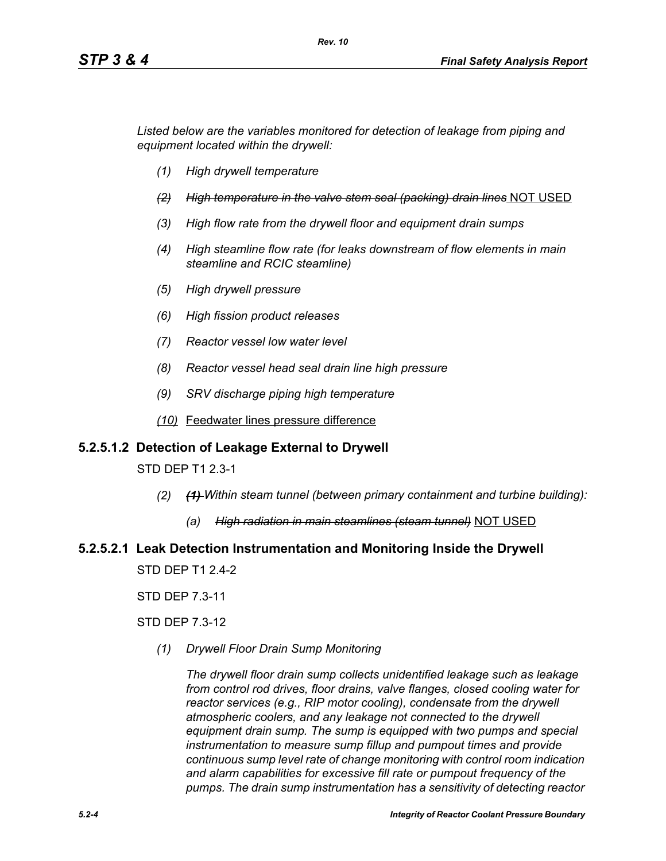*Listed below are the variables monitored for detection of leakage from piping and equipment located within the drywell:*

- *(1) High drywell temperature*
- *(2) High temperature in the valve stem seal (packing) drain lines* NOT USED
- *(3) High flow rate from the drywell floor and equipment drain sumps*
- *(4) High steamline flow rate (for leaks downstream of flow elements in main steamline and RCIC steamline)*
- *(5) High drywell pressure*
- *(6) High fission product releases*
- *(7) Reactor vessel low water level*
- *(8) Reactor vessel head seal drain line high pressure*
- *(9) SRV discharge piping high temperature*
- *(10)* Feedwater lines pressure difference

### **5.2.5.1.2 Detection of Leakage External to Drywell**

STD DEP T1 2.3-1

- *(2) (1) Within steam tunnel (between primary containment and turbine building):*
	- *(a) High radiation in main steamlines (steam tunnel)* NOT USED

# **5.2.5.2.1 Leak Detection Instrumentation and Monitoring Inside the Drywell**

STD DEP T1 2.4-2

STD DEP 7.3-11

STD DEP 7.3-12

*(1) Drywell Floor Drain Sump Monitoring*

*The drywell floor drain sump collects unidentified leakage such as leakage from control rod drives, floor drains, valve flanges, closed cooling water for reactor services (e.g., RIP motor cooling), condensate from the drywell atmospheric coolers, and any leakage not connected to the drywell equipment drain sump. The sump is equipped with two pumps and special instrumentation to measure sump fillup and pumpout times and provide continuous sump level rate of change monitoring with control room indication and alarm capabilities for excessive fill rate or pumpout frequency of the pumps. The drain sump instrumentation has a sensitivity of detecting reactor*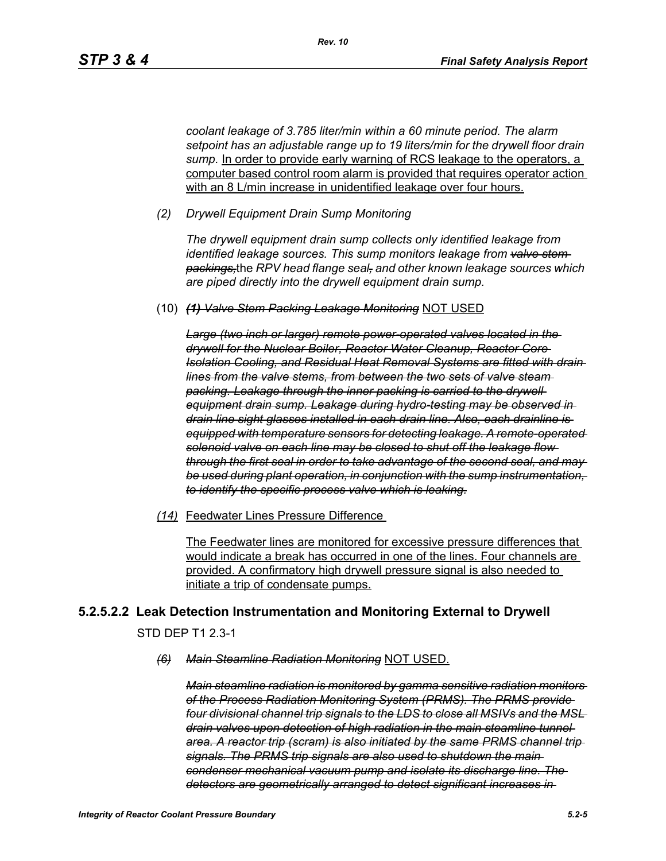*coolant leakage of 3.785 liter/min within a 60 minute period. The alarm setpoint has an adjustable range up to 19 liters/min for the drywell floor drain*  sump. In order to provide early warning of RCS leakage to the operators, a computer based control room alarm is provided that requires operator action with an 8 L/min increase in unidentified leakage over four hours.

*(2) Drywell Equipment Drain Sump Monitoring*

*The drywell equipment drain sump collects only identified leakage from identified leakage sources. This sump monitors leakage from valve stem packings,*the *RPV head flange seal, and other known leakage sources which are piped directly into the drywell equipment drain sump.*

(10) *(1) Valve Stem Packing Leakage Monitoring* NOT USED

*Large (two inch or larger) remote power-operated valves located in the drywell for the Nuclear Boiler, Reactor Water Cleanup, Reactor Core Isolation Cooling, and Residual Heat Removal Systems are fitted with drain lines from the valve stems, from between the two sets of valve steam packing. Leakage through the inner packing is carried to the drywell equipment drain sump. Leakage during hydro-testing may be observed in drain line sight glasses installed in each drain line. Also, each drainline is equipped with temperature sensors for detecting leakage. A remote-operated solenoid valve on each line may be closed to shut off the leakage flow through the first seal in order to take advantage of the second seal, and may be used during plant operation, in conjunction with the sump instrumentation, to identify the specific process valve which is leaking.*

*(14)* Feedwater Lines Pressure Difference

The Feedwater lines are monitored for excessive pressure differences that would indicate a break has occurred in one of the lines. Four channels are provided. A confirmatory high drywell pressure signal is also needed to initiate a trip of condensate pumps.

# **5.2.5.2.2 Leak Detection Instrumentation and Monitoring External to Drywell**

STD DEP T1 2.3-1

*(6) Main Steamline Radiation Monitoring* NOT USED.

*Main steamline radiation is monitored by gamma sensitive radiation monitors of the Process Radiation Monitoring System (PRMS). The PRMS provide four divisional channel trip signals to the LDS to close all MSIVs and the MSL drain valves upon detection of high radiation in the main steamline tunnel area. A reactor trip (scram) is also initiated by the same PRMS channel trip signals. The PRMS trip signals are also used to shutdown the main condenser mechanical vacuum pump and isolate its discharge line. The detectors are geometrically arranged to detect significant increases in*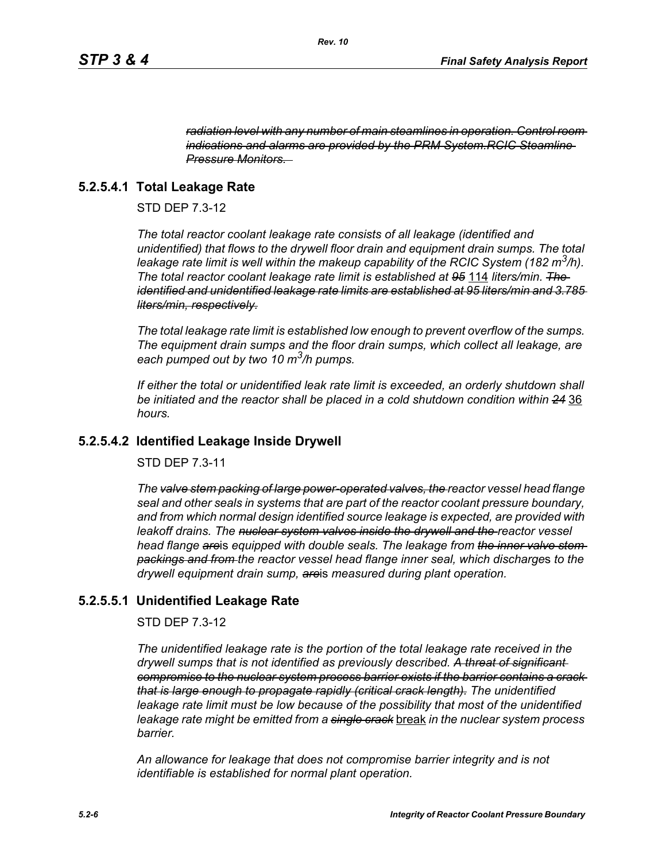*radiation level with any number of main steamlines in operation. Control room indications and alarms are provided by the PRM System.RCIC Steamline Pressure Monitors.* 

# **5.2.5.4.1 Total Leakage Rate**

STD DEP 7.3-12

*The total reactor coolant leakage rate consists of all leakage (identified and unidentified) that flows to the drywell floor drain and equipment drain sumps. The total leakage rate limit is well within the makeup capability of the RCIC System (182 m3/h). The total reactor coolant leakage rate limit is established at 95* 114 *liters/min. The identified and unidentified leakage rate limits are established at 95 liters/min and 3.785 liters/min, respectively.*

*The total leakage rate limit is established low enough to prevent overflow of the sumps. The equipment drain sumps and the floor drain sumps, which collect all leakage, are each pumped out by two 10 m3/h pumps.*

*If either the total or unidentified leak rate limit is exceeded, an orderly shutdown shall be initiated and the reactor shall be placed in a cold shutdown condition within 24* 36 *hours.*

### **5.2.5.4.2 Identified Leakage Inside Drywell**

STD DEP 7.3-11

*The valve stem packing of large power-operated valves, the reactor vessel head flange seal and other seals in systems that are part of the reactor coolant pressure boundary, and from which normal design identified source leakage is expected, are provided with leakoff drains. The nuclear system valves inside the drywell and the reactor vessel head flange are*is *equipped with double seals. The leakage from the inner valve stem packings and from the reactor vessel head flange inner seal, which discharge*s *to the drywell equipment drain sump, are*is *measured during plant operation.*

### **5.2.5.5.1 Unidentified Leakage Rate**

STD DEP 7.3-12

*The unidentified leakage rate is the portion of the total leakage rate received in the drywell sumps that is not identified as previously described. A threat of significant compromise to the nuclear system process barrier exists if the barrier contains a crack that is large enough to propagate rapidly (critical crack length). The unidentified leakage rate limit must be low because of the possibility that most of the unidentified leakage rate might be emitted from a single crack* break *in the nuclear system process barrier.*

*An allowance for leakage that does not compromise barrier integrity and is not identifiable is established for normal plant operation.*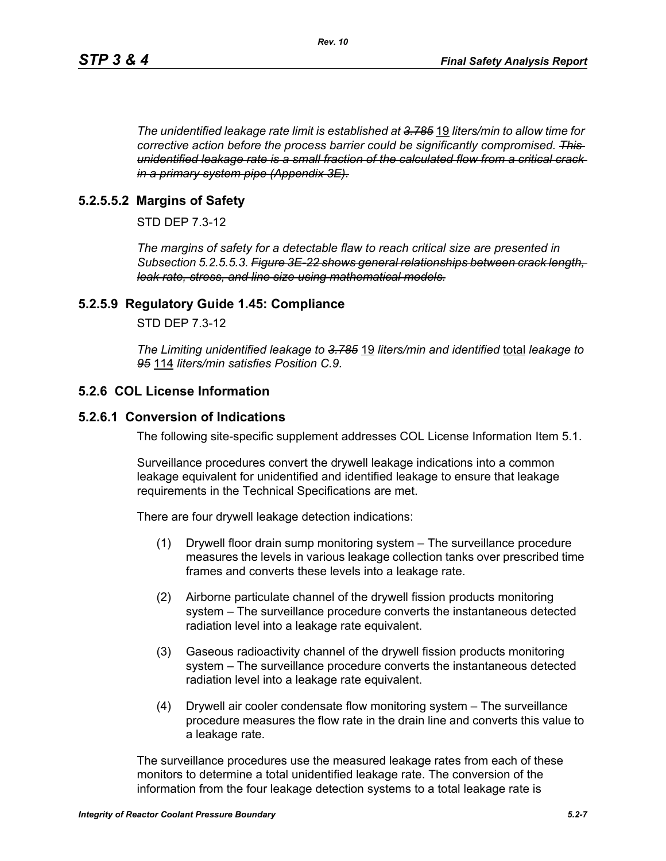*The unidentified leakage rate limit is established at 3.785* 19 *liters/min to allow time for corrective action before the process barrier could be significantly compromised. This unidentified leakage rate is a small fraction of the calculated flow from a critical crack in a primary system pipe (Appendix 3E).*

# **5.2.5.5.2 Margins of Safety**

STD DEP 7.3-12

*The margins of safety for a detectable flaw to reach critical size are presented in Subsection 5.2.5.5.3. Figure 3E-22 shows general relationships between crack length, leak rate, stress, and line size using mathematical models.*

# **5.2.5.9 Regulatory Guide 1.45: Compliance**

STD DEP 7.3-12

*The Limiting unidentified leakage to 3.785* 19 *liters/min and identified* total *leakage to 95* 114 *liters/min satisfies Position C.9.*

# **5.2.6 COL License Information**

# **5.2.6.1 Conversion of Indications**

The following site-specific supplement addresses COL License Information Item 5.1.

Surveillance procedures convert the drywell leakage indications into a common leakage equivalent for unidentified and identified leakage to ensure that leakage requirements in the Technical Specifications are met.

There are four drywell leakage detection indications:

- (1) Drywell floor drain sump monitoring system The surveillance procedure measures the levels in various leakage collection tanks over prescribed time frames and converts these levels into a leakage rate.
- (2) Airborne particulate channel of the drywell fission products monitoring system – The surveillance procedure converts the instantaneous detected radiation level into a leakage rate equivalent.
- (3) Gaseous radioactivity channel of the drywell fission products monitoring system – The surveillance procedure converts the instantaneous detected radiation level into a leakage rate equivalent.
- (4) Drywell air cooler condensate flow monitoring system The surveillance procedure measures the flow rate in the drain line and converts this value to a leakage rate.

The surveillance procedures use the measured leakage rates from each of these monitors to determine a total unidentified leakage rate. The conversion of the information from the four leakage detection systems to a total leakage rate is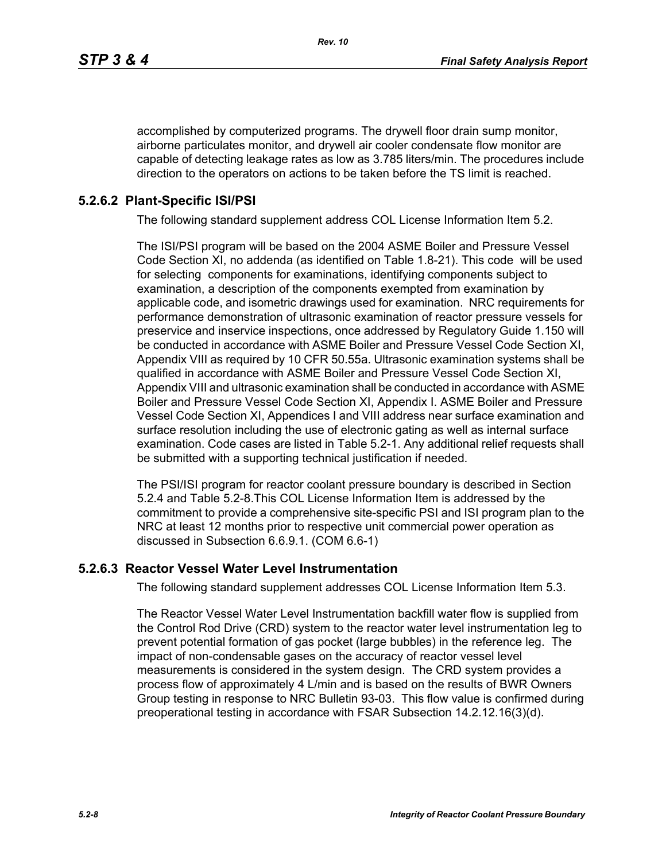accomplished by computerized programs. The drywell floor drain sump monitor, airborne particulates monitor, and drywell air cooler condensate flow monitor are capable of detecting leakage rates as low as 3.785 liters/min. The procedures include direction to the operators on actions to be taken before the TS limit is reached.

# **5.2.6.2 Plant-Specific ISI/PSI**

The following standard supplement address COL License Information Item 5.2.

The ISI/PSI program will be based on the 2004 ASME Boiler and Pressure Vessel Code Section XI, no addenda (as identified on Table 1.8-21). This code will be used for selecting components for examinations, identifying components subject to examination, a description of the components exempted from examination by applicable code, and isometric drawings used for examination. NRC requirements for performance demonstration of ultrasonic examination of reactor pressure vessels for preservice and inservice inspections, once addressed by Regulatory Guide 1.150 will be conducted in accordance with ASME Boiler and Pressure Vessel Code Section XI, Appendix VIII as required by 10 CFR 50.55a. Ultrasonic examination systems shall be qualified in accordance with ASME Boiler and Pressure Vessel Code Section XI, Appendix VIII and ultrasonic examination shall be conducted in accordance with ASME Boiler and Pressure Vessel Code Section XI, Appendix I. ASME Boiler and Pressure Vessel Code Section XI, Appendices I and VIII address near surface examination and surface resolution including the use of electronic gating as well as internal surface examination. Code cases are listed in Table 5.2-1. Any additional relief requests shall be submitted with a supporting technical justification if needed.

The PSI/ISI program for reactor coolant pressure boundary is described in Section 5.2.4 and Table 5.2-8.This COL License Information Item is addressed by the commitment to provide a comprehensive site-specific PSI and ISI program plan to the NRC at least 12 months prior to respective unit commercial power operation as discussed in Subsection 6.6.9.1. (COM 6.6-1)

# **5.2.6.3 Reactor Vessel Water Level Instrumentation**

The following standard supplement addresses COL License Information Item 5.3.

The Reactor Vessel Water Level Instrumentation backfill water flow is supplied from the Control Rod Drive (CRD) system to the reactor water level instrumentation leg to prevent potential formation of gas pocket (large bubbles) in the reference leg. The impact of non-condensable gases on the accuracy of reactor vessel level measurements is considered in the system design. The CRD system provides a process flow of approximately 4 L/min and is based on the results of BWR Owners Group testing in response to NRC Bulletin 93-03. This flow value is confirmed during preoperational testing in accordance with FSAR Subsection 14.2.12.16(3)(d).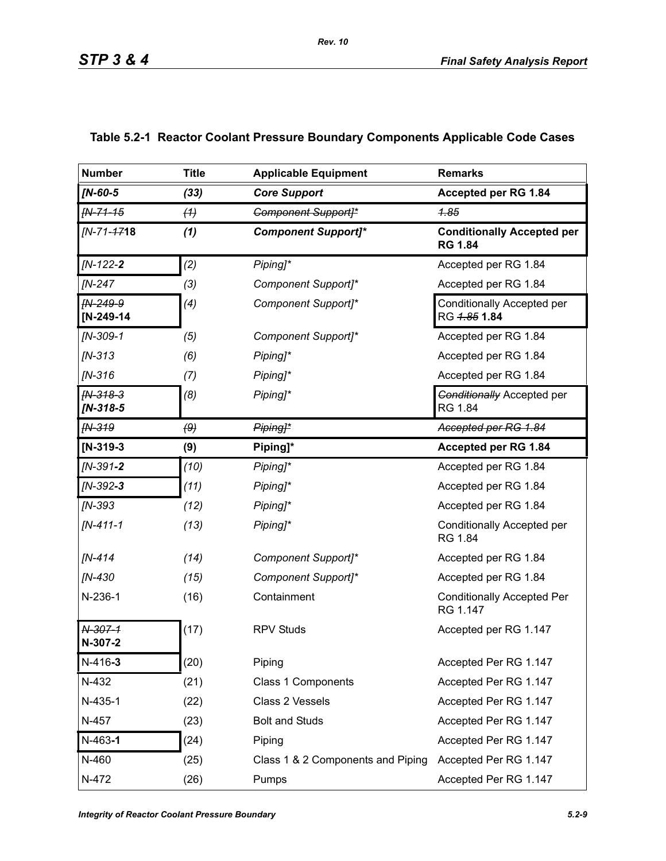| <b>Number</b>          | <b>Title</b> | <b>Applicable Equipment</b>       | <b>Remarks</b>                                      |
|------------------------|--------------|-----------------------------------|-----------------------------------------------------|
| $IN-60-5$              | (33)         | <b>Core Support</b>               | Accepted per RG 1.84                                |
| FN-71-15               | (4)          | <b>Component Support]*</b>        | 4.85                                                |
| [N-71-4718             | (1)          | <b>Component Support]*</b>        | <b>Conditionally Accepted per</b><br><b>RG 1.84</b> |
| [N-122-2               | (2)          | Piping]*                          | Accepted per RG 1.84                                |
| [N-247                 | (3)          | Component Support]*               | Accepted per RG 1.84                                |
| FN-249-9<br>[N-249-14  | (4)          | Component Support]*               | Conditionally Accepted per<br>RG 4.85 1.84          |
| [N-309-1               | (5)          | Component Support]*               | Accepted per RG 1.84                                |
| $IN-313$               | (6)          | Piping]*                          | Accepted per RG 1.84                                |
| [N-316                 | (7)          | Piping <sub>1</sub> *             | Accepted per RG 1.84                                |
| $fN-318-3$<br>[N-318-5 | (8)          | Piping]*                          | <b>Conditionally Accepted per</b><br>RG 1.84        |
| <b>FN-319</b>          | (9)          | Piping <sub>1</sub> *             | Accepted per RG 1.84                                |
| $[N-319-3]$            | (9)          | Piping]*                          | Accepted per RG 1.84                                |
| $IN-391-2$             | (10)         | Piping]*                          | Accepted per RG 1.84                                |
| [N-392-3               | (11)         | Piping]*                          | Accepted per RG 1.84                                |
| [N-393                 | (12)         | Piping]*                          | Accepted per RG 1.84                                |
| $IN-411-1$             | (13)         | Piping]*                          | Conditionally Accepted per<br>RG 1.84               |
| $IN-414$               | (14)         | Component Support]*               | Accepted per RG 1.84                                |
| [N-430                 | (15)         | Component Support]*               | Accepted per RG 1.84                                |
| N-236-1                | (16)         | Containment                       | <b>Conditionally Accepted Per</b><br>RG 1.147       |
| N-307-1<br>N-307-2     | (17)         | <b>RPV Studs</b>                  | Accepted per RG 1.147                               |
| N-416-3                | (20)         | Piping                            | Accepted Per RG 1.147                               |
| N-432                  | (21)         | Class 1 Components                | Accepted Per RG 1.147                               |
| N-435-1                | (22)         | Class 2 Vessels                   | Accepted Per RG 1.147                               |
| N-457                  | (23)         | <b>Bolt and Studs</b>             | Accepted Per RG 1.147                               |
| $N-463-1$              | (24)         | Piping                            | Accepted Per RG 1.147                               |
| N-460                  | (25)         | Class 1 & 2 Components and Piping | Accepted Per RG 1.147                               |
| N-472                  | (26)         | Pumps                             | Accepted Per RG 1.147                               |

# **Table 5.2-1 Reactor Coolant Pressure Boundary Components Applicable Code Cases**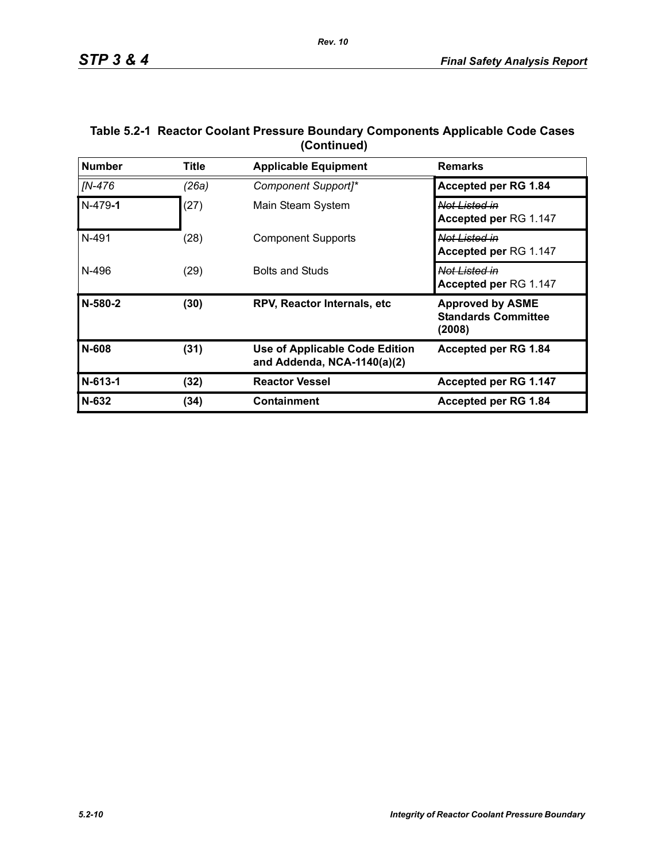| <b>Number</b> | Title | <b>Applicable Equipment</b>                                          | <b>Remarks</b>                                                  |
|---------------|-------|----------------------------------------------------------------------|-----------------------------------------------------------------|
| IN-476        | (26a) | Component Support]*                                                  | Accepted per RG 1.84                                            |
| $N-479-1$     | (27)  | Main Steam System                                                    | <del>Not Listed in</del><br>Accepted per RG 1.147               |
| N-491         | (28)  | <b>Component Supports</b>                                            | Not Listed in<br>Accepted per RG 1.147                          |
| N-496         | (29)  | <b>Bolts and Studs</b>                                               | Not Listed in<br>Accepted per RG 1.147                          |
| N-580-2       | (30)  | <b>RPV, Reactor Internals, etc.</b>                                  | <b>Approved by ASME</b><br><b>Standards Committee</b><br>(2008) |
| N-608         | (31)  | <b>Use of Applicable Code Edition</b><br>and Addenda, NCA-1140(a)(2) | Accepted per RG 1.84                                            |
| N-613-1       | (32)  | <b>Reactor Vessel</b>                                                | Accepted per RG 1.147                                           |
| N-632         | (34)  | Containment                                                          | Accepted per RG 1.84                                            |

| Table 5.2-1  Reactor Coolant Pressure Boundary Components Applicable Code Cases |
|---------------------------------------------------------------------------------|
| (Continued)                                                                     |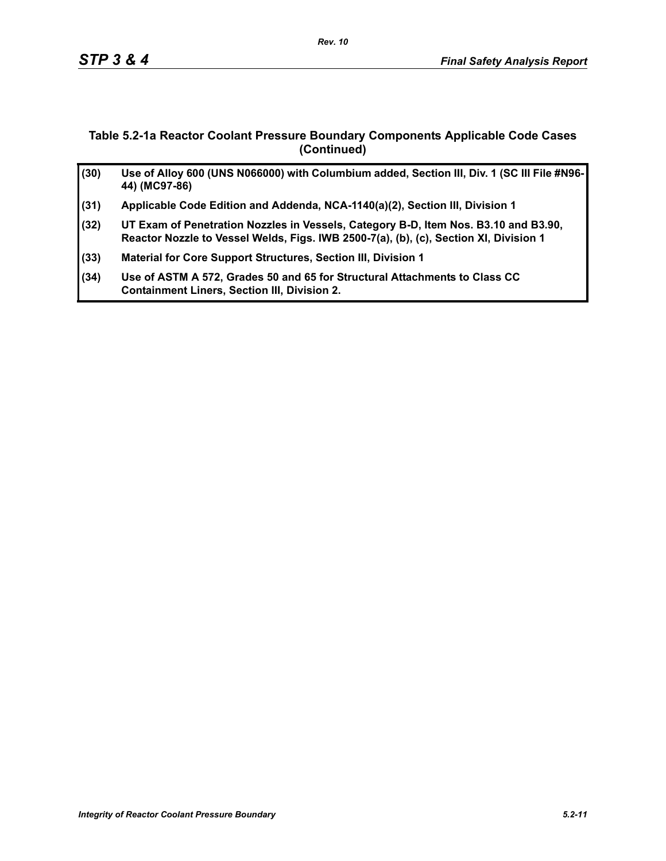# **Table 5.2-1a Reactor Coolant Pressure Boundary Components Applicable Code Cases (Continued)**

| (30) | Use of Alloy 600 (UNS N066000) with Columbium added, Section III, Div. 1 (SC III File #N96-<br>44) (MC97-86)                                                                 |
|------|------------------------------------------------------------------------------------------------------------------------------------------------------------------------------|
| (31) | Applicable Code Edition and Addenda, NCA-1140(a)(2), Section III, Division 1                                                                                                 |
| (32) | UT Exam of Penetration Nozzles in Vessels, Category B-D, Item Nos. B3.10 and B3.90,<br>Reactor Nozzle to Vessel Welds, Figs. IWB 2500-7(a), (b), (c), Section XI, Division 1 |
| (33) | Material for Core Support Structures, Section III, Division 1                                                                                                                |
| (34) | Use of ASTM A 572, Grades 50 and 65 for Structural Attachments to Class CC<br><b>Containment Liners, Section III, Division 2.</b>                                            |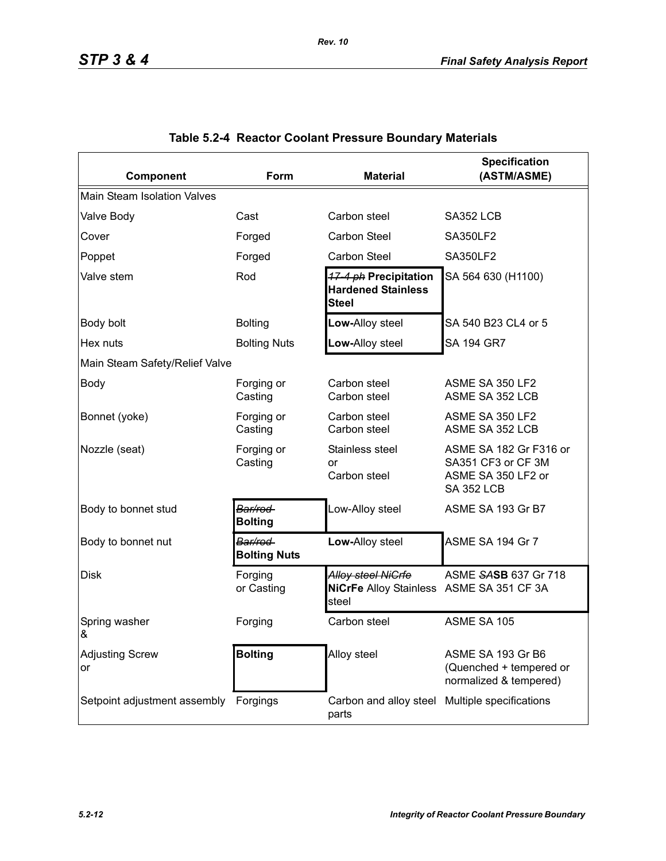| Component                          | Form                            | <b>Material</b>                                                         | <b>Specification</b><br>(ASTM/ASME)                                                     |  |  |  |  |  |  |  |
|------------------------------------|---------------------------------|-------------------------------------------------------------------------|-----------------------------------------------------------------------------------------|--|--|--|--|--|--|--|
| <b>Main Steam Isolation Valves</b> |                                 |                                                                         |                                                                                         |  |  |  |  |  |  |  |
| Valve Body                         | Cast                            | Carbon steel                                                            | SA352 LCB                                                                               |  |  |  |  |  |  |  |
| Cover                              | Forged                          | <b>Carbon Steel</b>                                                     | <b>SA350LF2</b>                                                                         |  |  |  |  |  |  |  |
| Poppet                             | Forged                          | <b>Carbon Steel</b>                                                     | <b>SA350LF2</b>                                                                         |  |  |  |  |  |  |  |
| Valve stem                         | Rod                             | 17-4 ph Precipitation<br><b>Hardened Stainless</b><br><b>Steel</b>      | SA 564 630 (H1100)                                                                      |  |  |  |  |  |  |  |
| Body bolt                          | <b>Bolting</b>                  | Low-Alloy steel                                                         | SA 540 B23 CL4 or 5                                                                     |  |  |  |  |  |  |  |
| Hex nuts                           | <b>Bolting Nuts</b>             | Low-Alloy steel                                                         | SA 194 GR7                                                                              |  |  |  |  |  |  |  |
| Main Steam Safety/Relief Valve     |                                 |                                                                         |                                                                                         |  |  |  |  |  |  |  |
| <b>Body</b>                        | Forging or<br>Casting           | Carbon steel<br>Carbon steel                                            | ASME SA 350 LF2<br>ASME SA 352 LCB                                                      |  |  |  |  |  |  |  |
| Bonnet (yoke)                      | Forging or<br>Casting           | Carbon steel<br>Carbon steel                                            | ASME SA 350 LF2<br>ASME SA 352 LCB                                                      |  |  |  |  |  |  |  |
| Nozzle (seat)                      | Forging or<br>Casting           | Stainless steel<br>or<br>Carbon steel                                   | ASME SA 182 Gr F316 or<br>SA351 CF3 or CF 3M<br>ASME SA 350 LF2 or<br><b>SA 352 LCB</b> |  |  |  |  |  |  |  |
| Body to bonnet stud                | Bar/rod<br><b>Bolting</b>       | Low-Alloy steel                                                         | ASME SA 193 Gr B7                                                                       |  |  |  |  |  |  |  |
| Body to bonnet nut                 | Bar/rod-<br><b>Bolting Nuts</b> | Low-Alloy steel                                                         | ASME SA 194 Gr 7                                                                        |  |  |  |  |  |  |  |
| <b>Disk</b>                        | Forging<br>or Casting           | Alloy steel NiGrfe<br>NiCrFe Alloy Stainless ASME SA 351 CF 3A<br>steel | ASME SASB 637 Gr 718                                                                    |  |  |  |  |  |  |  |
| Spring washer<br>&                 | Forging                         | Carbon steel                                                            | ASME SA 105                                                                             |  |  |  |  |  |  |  |
| <b>Adjusting Screw</b><br>or       | <b>Bolting</b>                  | Alloy steel                                                             | ASME SA 193 Gr B6<br>(Quenched + tempered or<br>normalized & tempered)                  |  |  |  |  |  |  |  |
| Setpoint adjustment assembly       | Forgings                        | Carbon and alloy steel Multiple specifications<br>parts                 |                                                                                         |  |  |  |  |  |  |  |

# **Table 5.2-4 Reactor Coolant Pressure Boundary Materials**

*Rev. 10*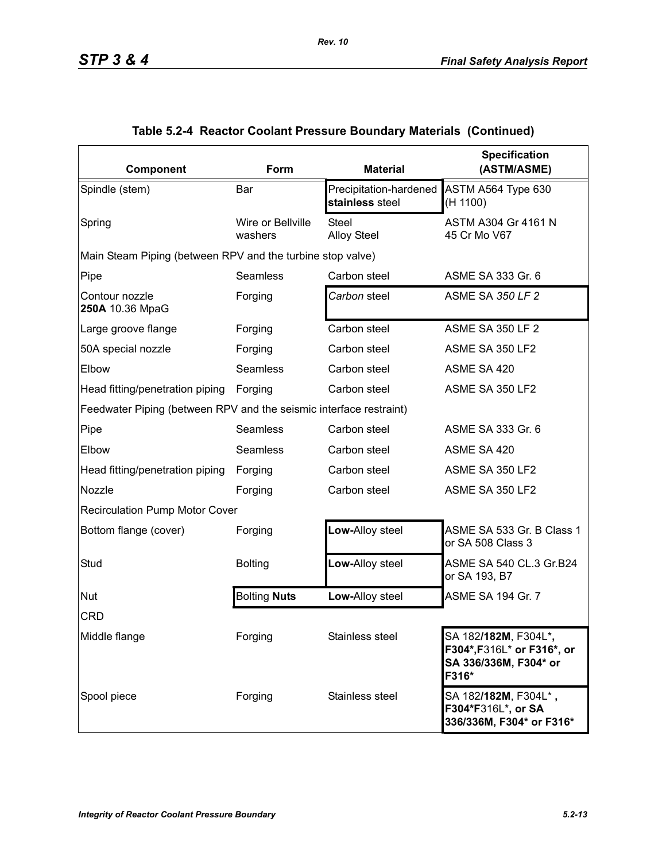| Component                                                          | Form                         | <b>Material</b>                           | <b>Specification</b><br>(ASTM/ASME)                                                  |
|--------------------------------------------------------------------|------------------------------|-------------------------------------------|--------------------------------------------------------------------------------------|
| Spindle (stem)                                                     | Bar                          | Precipitation-hardened<br>stainless steel | ASTM A564 Type 630<br>(H 1100)                                                       |
| Spring                                                             | Wire or Bellville<br>washers | <b>Steel</b><br><b>Alloy Steel</b>        | ASTM A304 Gr 4161 N<br>45 Cr Mo V67                                                  |
| Main Steam Piping (between RPV and the turbine stop valve)         |                              |                                           |                                                                                      |
| Pipe                                                               | Seamless                     | Carbon steel                              | ASME SA 333 Gr. 6                                                                    |
| Contour nozzle<br>250A 10.36 MpaG                                  | Forging                      | Carbon steel                              | <b>ASME SA 350 LF 2</b>                                                              |
| Large groove flange                                                | Forging                      | Carbon steel                              | <b>ASME SA 350 LF 2</b>                                                              |
| 50A special nozzle                                                 | Forging                      | Carbon steel                              | ASME SA 350 LF2                                                                      |
| Elbow                                                              | <b>Seamless</b>              | Carbon steel                              | ASME SA 420                                                                          |
| Head fitting/penetration piping                                    | Forging                      | Carbon steel                              | ASME SA 350 LF2                                                                      |
| Feedwater Piping (between RPV and the seismic interface restraint) |                              |                                           |                                                                                      |
| Pipe                                                               | <b>Seamless</b>              | Carbon steel                              | ASME SA 333 Gr. 6                                                                    |
| Elbow                                                              | <b>Seamless</b>              | Carbon steel                              | ASME SA 420                                                                          |
| Head fitting/penetration piping                                    | Forging                      | Carbon steel                              | ASME SA 350 LF2                                                                      |
| Nozzle                                                             | Forging                      | Carbon steel                              | ASME SA 350 LF2                                                                      |
| <b>Recirculation Pump Motor Cover</b>                              |                              |                                           |                                                                                      |
| Bottom flange (cover)                                              | Forging                      | Low-Alloy steel                           | ASME SA 533 Gr. B Class 1<br>or SA 508 Class 3                                       |
| Stud                                                               | <b>Bolting</b>               | Low-Alloy steel                           | ASME SA 540 CL.3 Gr.B24<br>or SA 193, B7                                             |
| Nut                                                                | <b>Bolting Nuts</b>          | Low-Alloy steel                           | ASME SA 194 Gr. 7                                                                    |
| <b>CRD</b>                                                         |                              |                                           |                                                                                      |
| Middle flange                                                      | Forging                      | Stainless steel                           | SA 182/182M, F304L*,<br>F304*, F316L* or F316*, or<br>SA 336/336M, F304* or<br>F316* |
| Spool piece                                                        | Forging                      | Stainless steel                           | SA 182/182M, F304L*,<br>F304*F316L*, or SA<br>336/336M, F304* or F316*               |

# **Table 5.2-4 Reactor Coolant Pressure Boundary Materials (Continued)**

*Rev. 10*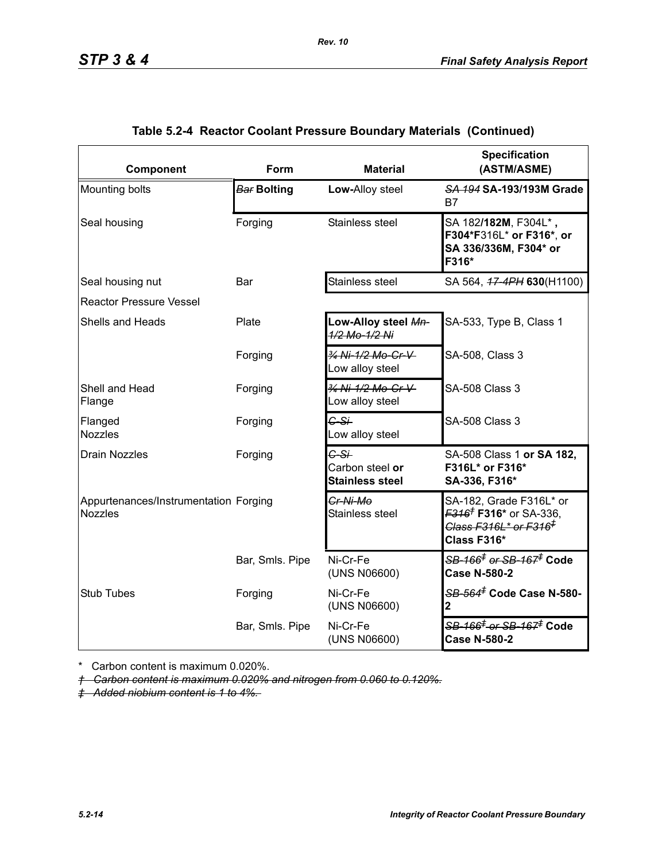| Component                                               | Form               | <b>Material</b>                                     | <b>Specification</b><br>(ASTM/ASME)                                                                                                   |  |  |  |  |  |  |
|---------------------------------------------------------|--------------------|-----------------------------------------------------|---------------------------------------------------------------------------------------------------------------------------------------|--|--|--|--|--|--|
| Mounting bolts                                          | <b>Bar Bolting</b> | Low-Alloy steel                                     | SA 194 SA-193/193M Grade<br>B7                                                                                                        |  |  |  |  |  |  |
| Seal housing                                            | Forging            | Stainless steel                                     | SA 182/182M, F304L*,<br>F304*F316L* or F316*, or<br>SA 336/336M, F304* or<br>F316*                                                    |  |  |  |  |  |  |
| Seal housing nut                                        | Bar                | Stainless steel                                     | SA 564, 47-4PH 630(H1100)                                                                                                             |  |  |  |  |  |  |
| <b>Reactor Pressure Vessel</b>                          |                    |                                                     |                                                                                                                                       |  |  |  |  |  |  |
| <b>Shells and Heads</b>                                 | Plate              | Low-Alloy steel Mn-<br>1/2 Mo-1/2 Ni                | SA-533, Type B, Class 1                                                                                                               |  |  |  |  |  |  |
|                                                         | Forging            | 3/4 Ni-1/2 Mo-Cr-V<br>Low alloy steel               | SA-508, Class 3                                                                                                                       |  |  |  |  |  |  |
| Shell and Head<br>Flange                                | Forging            | 34 Ni-1/2 Mo-Cr-V<br>Low alloy steel                | <b>SA-508 Class 3</b>                                                                                                                 |  |  |  |  |  |  |
| Flanged<br><b>Nozzles</b>                               | Forging            | $G-S+$<br>Low alloy steel                           | <b>SA-508 Class 3</b>                                                                                                                 |  |  |  |  |  |  |
| <b>Drain Nozzles</b>                                    | Forging            | $C-S+$<br>Carbon steel or<br><b>Stainless steel</b> | SA-508 Class 1 or SA 182,<br>F316L* or F316*<br>SA-336, F316*                                                                         |  |  |  |  |  |  |
| Appurtenances/Instrumentation Forging<br><b>Nozzles</b> |                    | Cr-Ni-Mo<br>Stainless steel                         | SA-182, Grade F316L* or<br><del>F316<sup>†</sup></del> F316* or SA-336,<br><del>Class F316L* or F316<sup>‡</sup></del><br>Class F316* |  |  |  |  |  |  |
|                                                         | Bar, Smls. Pipe    | Ni-Cr-Fe<br>(UNS N06600)                            | <del>SB-166<sup>≢</sup> or SB-167<sup>≢</sup> Code</del><br><b>Case N-580-2</b>                                                       |  |  |  |  |  |  |
| <b>Stub Tubes</b>                                       | Forging            | Ni-Cr-Fe<br>(UNS N06600)                            | <del>SB-564<sup>≢</sup> Code Case N-580-</del><br>2                                                                                   |  |  |  |  |  |  |
|                                                         | Bar, Smls. Pipe    | Ni-Cr-Fe<br>(UNS N06600)                            | <del>SB-166<sup>≢</sup> or SB-167<sup>≢</sup> Code</del><br><b>Case N-580-2</b>                                                       |  |  |  |  |  |  |

# **Table 5.2-4 Reactor Coolant Pressure Boundary Materials (Continued)**

*Rev. 10*

\* Carbon content is maximum 0.020%.

*† Carbon content is maximum 0.020% and nitrogen from 0.060 to 0.120%.*

*‡ Added niobium content is 1 to 4%.*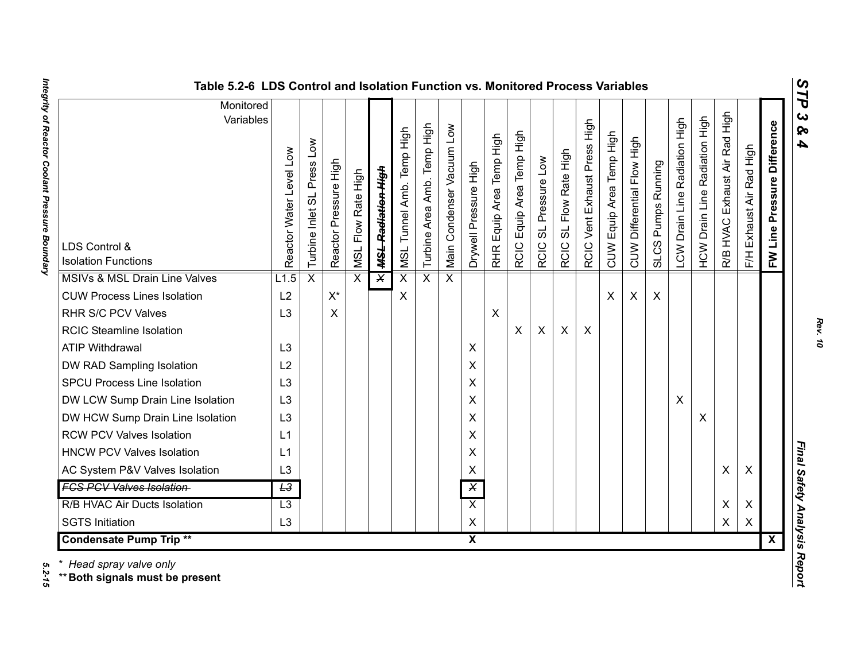| ທ |
|---|
| ⊣ |
| D |
| ట |
| ∞ |
| 4 |

| Table 5.2-6 LDS Control and Isolation Function vs. Monitored Process Variables |                            |                            |                       |                              |                               |                           |                                   |                           |                         |                                    |                                |                                |                                  |                              |                          |                            |                                    |                               |                                         |                                     |                          |                                |                              |
|--------------------------------------------------------------------------------|----------------------------|----------------------------|-----------------------|------------------------------|-------------------------------|---------------------------|-----------------------------------|---------------------------|-------------------------|------------------------------------|--------------------------------|--------------------------------|----------------------------------|------------------------------|--------------------------|----------------------------|------------------------------------|-------------------------------|-----------------------------------------|-------------------------------------|--------------------------|--------------------------------|------------------------------|
| Monitored<br>Variables<br>LDS Control &<br><b>Isolation Functions</b>          | Level Low<br>Reactor Water | Turbine Inlet SL Press Low | Reactor Pressure High | Flow Rate High<br><b>ISN</b> | <del>MSL Radiation High</del> | MSL Tunnel Amb. Temp High | Temp High<br>Amb.<br>Turbine Area | Main Condenser Vacuum Low | Drywell Pressure High   | Equip Area Temp High<br><b>RHR</b> | Equip Area Temp High<br>RCIC I | SL Pressure Low<br><b>RCIC</b> | SL Flow Rate High<br><b>RCIC</b> | RCIC Vent Exhaust Press High | CUW Equip Area Temp High | CUW Differential Flow High | Pumps Running<br>SLCS <sub>I</sub> | LCW Drain Line Radiation High | Radiation High<br><b>HCW Drain Line</b> | High<br>Exhaust Air Rad<br>R/B HVAC | F/H Exhaust Air Rad High | Pressure Difference<br>FW Line | $\mathbf{c}$<br>ନ୍<br>4      |
| MSIVs & MSL Drain Line Valves                                                  | L1.5                       | $\overline{\mathsf{x}}$    |                       | $\overline{\mathsf{x}}$      | $\overline{\mathsf{x}}$       | $\overline{\mathsf{x}}$   | $\overline{\mathsf{x}}$           | $\overline{\mathsf{x}}$   |                         |                                    |                                |                                |                                  |                              |                          |                            |                                    |                               |                                         |                                     |                          |                                |                              |
| <b>CUW Process Lines Isolation</b>                                             | L2                         |                            | $X^*$                 |                              |                               | X                         |                                   |                           |                         |                                    |                                |                                |                                  |                              | X                        | X                          | $\boldsymbol{\mathsf{X}}$          |                               |                                         |                                     |                          |                                |                              |
| RHR S/C PCV Valves                                                             | L3                         |                            | X                     |                              |                               |                           |                                   |                           |                         | $\boldsymbol{\mathsf{X}}$          |                                |                                |                                  |                              |                          |                            |                                    |                               |                                         |                                     |                          |                                |                              |
| <b>RCIC Steamline Isolation</b>                                                |                            |                            |                       |                              |                               |                           |                                   |                           |                         |                                    | X                              | $\pmb{\times}$                 | X                                | $\boldsymbol{\mathsf{X}}$    |                          |                            |                                    |                               |                                         |                                     |                          |                                |                              |
| <b>ATIP Withdrawal</b>                                                         | L <sub>3</sub>             |                            |                       |                              |                               |                           |                                   |                           | X                       |                                    |                                |                                |                                  |                              |                          |                            |                                    |                               |                                         |                                     |                          |                                |                              |
| DW RAD Sampling Isolation                                                      | L2                         |                            |                       |                              |                               |                           |                                   |                           | X                       |                                    |                                |                                |                                  |                              |                          |                            |                                    |                               |                                         |                                     |                          |                                |                              |
| <b>SPCU Process Line Isolation</b>                                             | L <sub>3</sub>             |                            |                       |                              |                               |                           |                                   |                           | X                       |                                    |                                |                                |                                  |                              |                          |                            |                                    |                               |                                         |                                     |                          |                                |                              |
| DW LCW Sump Drain Line Isolation                                               | L <sub>3</sub>             |                            |                       |                              |                               |                           |                                   |                           | X                       |                                    |                                |                                |                                  |                              |                          |                            |                                    | $\boldsymbol{\mathsf{X}}$     |                                         |                                     |                          |                                |                              |
| DW HCW Sump Drain Line Isolation                                               | L <sub>3</sub>             |                            |                       |                              |                               |                           |                                   |                           | X                       |                                    |                                |                                |                                  |                              |                          |                            |                                    |                               | X                                       |                                     |                          |                                |                              |
| <b>RCW PCV Valves Isolation</b>                                                | L1                         |                            |                       |                              |                               |                           |                                   |                           | X                       |                                    |                                |                                |                                  |                              |                          |                            |                                    |                               |                                         |                                     |                          |                                |                              |
| <b>HNCW PCV Valves Isolation</b>                                               | L1                         |                            |                       |                              |                               |                           |                                   |                           | X                       |                                    |                                |                                |                                  |                              |                          |                            |                                    |                               |                                         |                                     |                          |                                |                              |
| AC System P&V Valves Isolation                                                 | L <sub>3</sub>             |                            |                       |                              |                               |                           |                                   |                           | X                       |                                    |                                |                                |                                  |                              |                          |                            |                                    |                               |                                         | X                                   | X                        |                                | Final Safety Analysis Report |
| <b>FCS PCV Valves Isolation</b>                                                | L3                         |                            |                       |                              |                               |                           |                                   |                           | $\overline{\mathsf{x}}$ |                                    |                                |                                |                                  |                              |                          |                            |                                    |                               |                                         |                                     |                          |                                |                              |
| R/B HVAC Air Ducts Isolation                                                   | $\overline{L3}$            |                            |                       |                              |                               |                           |                                   |                           | $\overline{X}$          |                                    |                                |                                |                                  |                              |                          |                            |                                    |                               |                                         | X                                   | X                        |                                |                              |
| <b>SGTS Initiation</b>                                                         | L3                         |                            |                       |                              |                               |                           |                                   |                           | $\pmb{\times}$          |                                    |                                |                                |                                  |                              |                          |                            |                                    |                               |                                         | X                                   | $\pmb{\times}$           |                                |                              |
| <b>Condensate Pump Trip **</b>                                                 |                            |                            |                       |                              |                               |                           |                                   |                           | $\overline{\mathbf{x}}$ |                                    |                                |                                |                                  |                              |                          |                            |                                    |                               |                                         |                                     |                          | $\overline{\mathbf{X}}$        |                              |

Integrity of Reactor Coolant Pressure Boundary *Integrity of Reactor Coolant Pressure Boundary 5.2-15*

5.2-15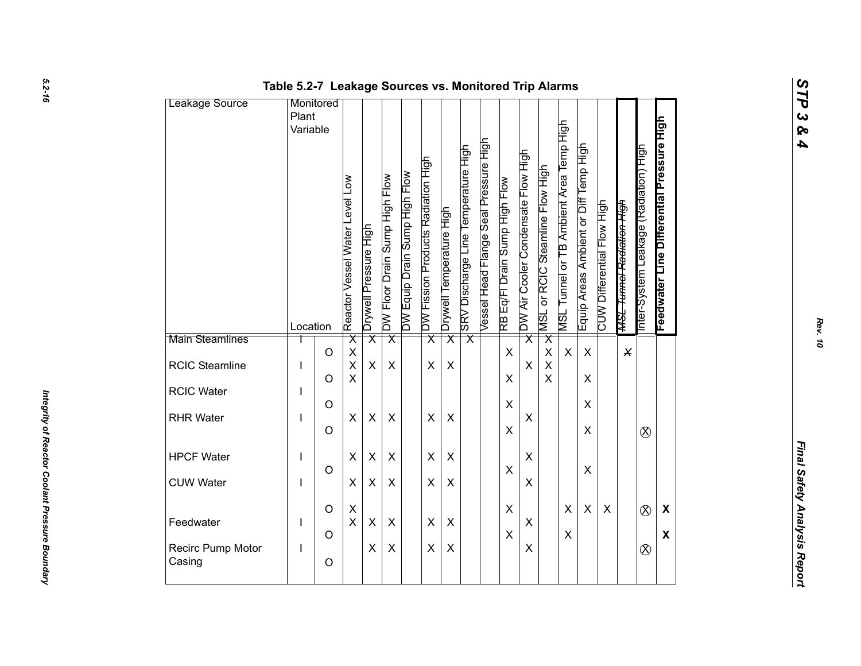| Leakage Source              | Table 5.2-7 Leakage Sources vs. Monitored Trip Alarms<br>Monitored<br>Plant<br>Variable |         |                                                      |                         |                               |                               |                                    |                          |                                     |                                       |                               |                                    |                                               |                                         |                                       |                            |                                      |                                       |                                           |  |
|-----------------------------|-----------------------------------------------------------------------------------------|---------|------------------------------------------------------|-------------------------|-------------------------------|-------------------------------|------------------------------------|--------------------------|-------------------------------------|---------------------------------------|-------------------------------|------------------------------------|-----------------------------------------------|-----------------------------------------|---------------------------------------|----------------------------|--------------------------------------|---------------------------------------|-------------------------------------------|--|
|                             | Location                                                                                |         | Reactor Vessel Water Level Low                       | Drywell Pressure High   | DW Floor Drain Sump High Flow | DW Equip Drain Sump High Flow | DW Fission Products Radiation High | Drywell Temperature High | SRV Discharge Line Temperature High | Vessel Head Flange Seal Pressure High | RB Eq/FI Drain Sump High Flow | DW Air Cooler Condensate Flow High | MSL or RCIC Steamline Flow High               | MSL Tunnel or TB Ambient Area Temp High | Equip Areas Ambient or Diff Temp High | CUW Differential Flow High | <del>MSL Tunnel Radiation High</del> | Inter-System Leakage (Radiation) High | Feedwater Line Differential Pressure High |  |
| <b>Main Steamlines</b>      |                                                                                         | $\circ$ | $\overline{\mathsf{x}}$<br>$\boldsymbol{\mathsf{X}}$ | $\overline{\mathsf{x}}$ | $\overline{\mathsf{x}}$       |                               | $\overline{\mathsf{x}}$            | $\overline{\mathsf{x}}$  | $\overline{\mathsf{x}}$             |                                       | $\pmb{\times}$                | $\overline{\mathsf{x}}$            | $\overline{\mathsf{x}}$<br>$\pmb{\mathsf{X}}$ | $\mathsf{X}$                            | $\pmb{\times}$                        |                            | $\pmb{\times}$                       |                                       |                                           |  |
| <b>RCIC Steamline</b>       |                                                                                         | $\circ$ | $\pmb{\times}$<br>$\pmb{\times}$                     | X                       | $\pmb{\times}$                |                               | $\mathsf{X}$                       | $\pmb{\times}$           |                                     |                                       | $\pmb{\times}$                | $\pmb{\times}$                     | $\pmb{\times}$<br>$\pmb{\times}$              |                                         | $\pmb{\times}$                        |                            |                                      |                                       |                                           |  |
| <b>RCIC Water</b>           |                                                                                         |         |                                                      |                         |                               |                               |                                    |                          |                                     |                                       |                               |                                    |                                               |                                         |                                       |                            |                                      |                                       |                                           |  |
| <b>RHR Water</b>            |                                                                                         | $\circ$ | $\mathsf{X}$                                         | X                       | $\pmb{\times}$                |                               | X                                  | $\pmb{\times}$           |                                     |                                       | $\sf X$                       | $\mathsf X$                        |                                               |                                         | $\pmb{\times}$                        |                            |                                      |                                       |                                           |  |
|                             |                                                                                         | $\circ$ |                                                      |                         |                               |                               |                                    |                          |                                     |                                       | $\pmb{\times}$                |                                    |                                               |                                         | $\pmb{\times}$                        |                            |                                      | $\otimes$                             |                                           |  |
| <b>HPCF Water</b>           | ı                                                                                       | $\circ$ | X                                                    | X                       | $\boldsymbol{\mathsf{X}}$     |                               | $\mathsf{X}$                       | $\pmb{\times}$           |                                     |                                       | $\pmb{\times}$                | $\mathsf X$                        |                                               |                                         | $\pmb{\times}$                        |                            |                                      |                                       |                                           |  |
| <b>CUW Water</b>            | J                                                                                       |         | X                                                    | X                       | $\pmb{\times}$                |                               | $\mathsf{X}$                       | $\pmb{\times}$           |                                     |                                       |                               | X                                  |                                               |                                         |                                       |                            |                                      |                                       |                                           |  |
|                             |                                                                                         | $\circ$ | $\pmb{\times}$                                       |                         |                               |                               |                                    |                          |                                     |                                       | $\pmb{\times}$                |                                    |                                               | X                                       | $\pmb{\times}$                        | $\pmb{\times}$             |                                      | $\otimes$                             | $\pmb{\mathsf{X}}$                        |  |
| Feedwater                   | J                                                                                       | $\circ$ | $\pmb{\times}$                                       | $\pmb{\times}$          | $\pmb{\times}$                |                               | $\mathsf{X}$                       | $\pmb{\times}$           |                                     |                                       | $\pmb{\times}$                | X                                  |                                               | X                                       |                                       |                            |                                      |                                       | $\pmb{\chi}$                              |  |
| Recirc Pump Motor<br>Casing |                                                                                         | $\circ$ |                                                      | X                       | $\pmb{\times}$                |                               | $\mathsf{X}$                       | $\pmb{\times}$           |                                     |                                       |                               | X                                  |                                               |                                         |                                       |                            |                                      | $\otimes$                             |                                           |  |

*Rev. 10*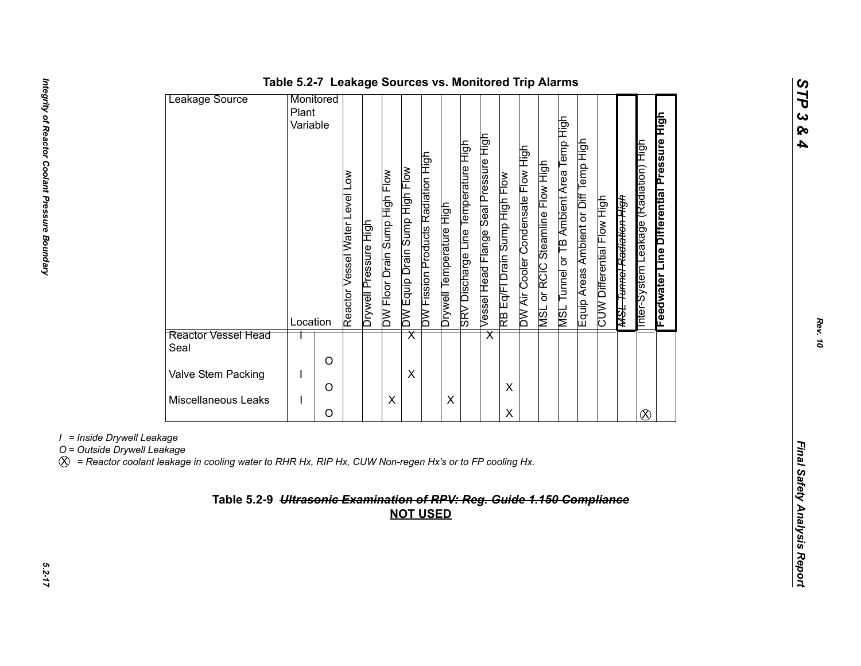| Leakage Source              | Monitored |   |                                      |                         |                               |                               |                                    |                          |                                     |                                       |                               |                                    |                                    |                                                   |                                       |                            |                                      |                                            |                                           |
|-----------------------------|-----------|---|--------------------------------------|-------------------------|-------------------------------|-------------------------------|------------------------------------|--------------------------|-------------------------------------|---------------------------------------|-------------------------------|------------------------------------|------------------------------------|---------------------------------------------------|---------------------------------------|----------------------------|--------------------------------------|--------------------------------------------|-------------------------------------------|
|                             | Plant     |   |                                      |                         |                               |                               |                                    |                          |                                     |                                       |                               |                                    |                                    |                                                   |                                       |                            |                                      |                                            |                                           |
|                             | Variable  |   |                                      |                         |                               |                               |                                    |                          |                                     |                                       |                               |                                    |                                    |                                                   |                                       |                            |                                      |                                            |                                           |
|                             | Location  |   | ≧<br>O<br>Reactor Vessel Water Level | Pressure High<br>lləwhq | DW Floor Drain Sump High Flow | DW Equip Drain Sump High Flow | DW Fission Products Radiation High | Drywell Temperature High | SRV Discharge Line Temperature High | Vessel Head Flange Seal Pressure High | RB Eq/FI Drain Sump High Flow | DW Air Cooler Condensate Flow High | or RCIC Steamline Flow High<br>NSL | Tunnel or TB Ambient Area Temp High<br><b>TSN</b> | Equip Areas Ambient or Diff Temp High | CUW Differential Flow High | <del>MSL Tunnel Radiation High</del> | (Radiation) High<br>Leakage<br>nter-System | Feedwater Line Differential Pressure High |
| Reactor Vessel Head<br>Seal |           |   |                                      |                         |                               | $\overline{\mathsf{x}}$       |                                    |                          |                                     | $\overline{\mathsf{x}}$               |                               |                                    |                                    |                                                   |                                       |                            |                                      |                                            |                                           |
|                             |           | O |                                      |                         |                               |                               |                                    |                          |                                     |                                       |                               |                                    |                                    |                                                   |                                       |                            |                                      |                                            |                                           |
| Valve Stem Packing          |           | O |                                      |                         |                               | X                             |                                    |                          |                                     |                                       | X                             |                                    |                                    |                                                   |                                       |                            |                                      |                                            |                                           |
| Miscellaneous Leaks         |           |   |                                      |                         | X                             |                               |                                    | X                        |                                     |                                       |                               |                                    |                                    |                                                   |                                       |                            |                                      |                                            |                                           |
|                             |           | O |                                      |                         |                               |                               |                                    |                          |                                     |                                       | Χ                             |                                    |                                    |                                                   |                                       |                            |                                      | $\otimes$                                  |                                           |

# **Table 5.2-7 Leakage Sources vs. Monitored Trip Alarms**

*I = Inside Drywell Leakage*

X *= Reactor coolant leakage in cooling water to RHR Hx, RIP Hx, CUW Non-regen Hx's or to FP cooling Hx.*

# *Final Safety Analysis Reportion Computer Computer Computer Computer Computer Computer Computer Computer Computer Computer of Computer of Computer Computer Computer Computer Computer Computer Computer Computer Computer Com*

*STP 3 & 4*